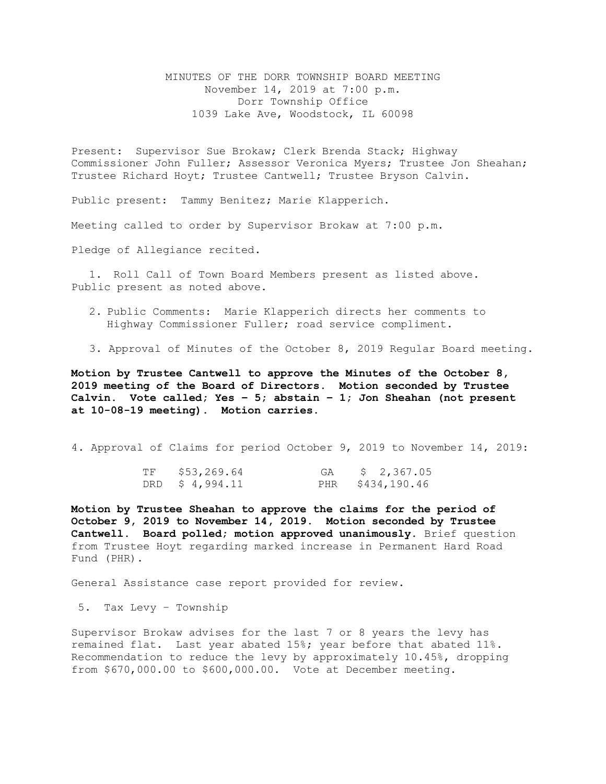MINUTES OF THE DORR TOWNSHIP BOARD MEETING November 14, 2019 at 7:00 p.m. Dorr Township Office 1039 Lake Ave, Woodstock, IL 60098

Present: Supervisor Sue Brokaw; Clerk Brenda Stack; Highway Commissioner John Fuller; Assessor Veronica Myers; Trustee Jon Sheahan; Trustee Richard Hoyt; Trustee Cantwell; Trustee Bryson Calvin.

Public present: Tammy Benitez; Marie Klapperich.

Meeting called to order by Supervisor Brokaw at 7:00 p.m.

Pledge of Allegiance recited.

1. Roll Call of Town Board Members present as listed above. Public present as noted above.

- 2. Public Comments: Marie Klapperich directs her comments to Highway Commissioner Fuller; road service compliment.
- 3. Approval of Minutes of the October 8, 2019 Regular Board meeting.

**Motion by Trustee Cantwell to approve the Minutes of the October 8, 2019 meeting of the Board of Directors. Motion seconded by Trustee Calvin. Vote called; Yes – 5; abstain – 1; Jon Sheahan (not present at 10-08-19 meeting). Motion carries.** 

4. Approval of Claims for period October 9, 2019 to November 14, 2019:

| TF | \$53,269.64     | GA | \$ 2,367.05      |
|----|-----------------|----|------------------|
|    | DRD $$4,994.11$ |    | PHR \$434,190.46 |

**Motion by Trustee Sheahan to approve the claims for the period of October 9, 2019 to November 14, 2019. Motion seconded by Trustee Cantwell. Board polled; motion approved unanimously.** Brief question from Trustee Hoyt regarding marked increase in Permanent Hard Road Fund (PHR).

General Assistance case report provided for review.

5. Tax Levy – Township

Supervisor Brokaw advises for the last 7 or 8 years the levy has remained flat. Last year abated 15%; year before that abated 11%. Recommendation to reduce the levy by approximately 10.45%, dropping from \$670,000.00 to \$600,000.00. Vote at December meeting.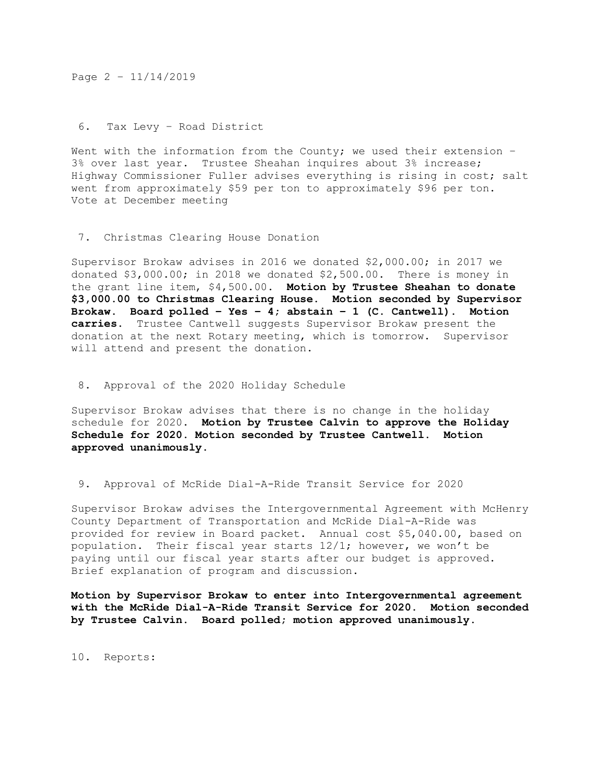Page 2 – 11/14/2019

6. Tax Levy – Road District

Went with the information from the County; we used their extension  $-$ 3% over last year. Trustee Sheahan inquires about 3% increase; Highway Commissioner Fuller advises everything is rising in cost; salt went from approximately \$59 per ton to approximately \$96 per ton. Vote at December meeting

7. Christmas Clearing House Donation

Supervisor Brokaw advises in 2016 we donated \$2,000.00; in 2017 we donated \$3,000.00; in 2018 we donated \$2,500.00. There is money in the grant line item, \$4,500.00. **Motion by Trustee Sheahan to donate \$3,000.00 to Christmas Clearing House. Motion seconded by Supervisor Brokaw. Board polled – Yes – 4; abstain – 1 (C. Cantwell). Motion carries.** Trustee Cantwell suggests Supervisor Brokaw present the donation at the next Rotary meeting, which is tomorrow. Supervisor will attend and present the donation.

8. Approval of the 2020 Holiday Schedule

Supervisor Brokaw advises that there is no change in the holiday schedule for 2020. **Motion by Trustee Calvin to approve the Holiday Schedule for 2020. Motion seconded by Trustee Cantwell. Motion approved unanimously.**

9. Approval of McRide Dial-A-Ride Transit Service for 2020

Supervisor Brokaw advises the Intergovernmental Agreement with McHenry County Department of Transportation and McRide Dial-A-Ride was provided for review in Board packet. Annual cost \$5,040.00, based on population. Their fiscal year starts  $12/1$ ; however, we won't be paying until our fiscal year starts after our budget is approved. Brief explanation of program and discussion.

**Motion by Supervisor Brokaw to enter into Intergovernmental agreement with the McRide Dial-A-Ride Transit Service for 2020. Motion seconded by Trustee Calvin. Board polled; motion approved unanimously.** 

10. Reports: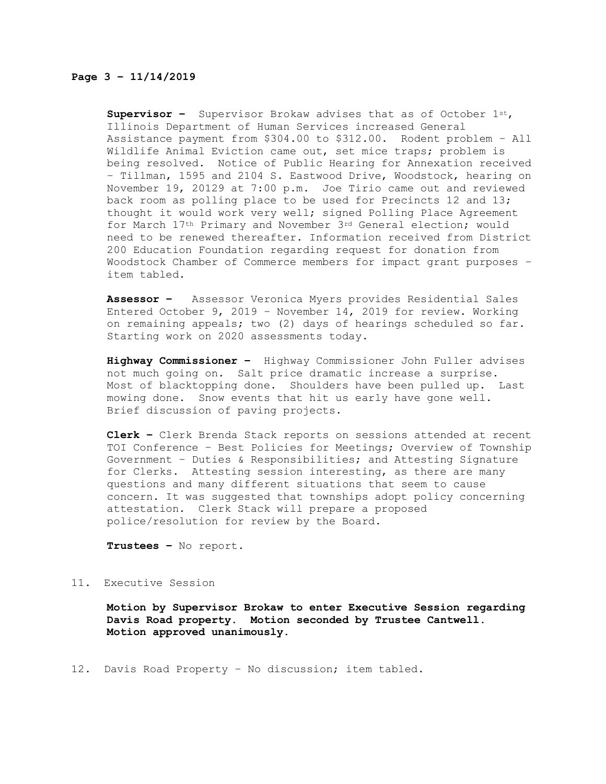## **Page 3 – 11/14/2019**

**Supervisor –** Supervisor Brokaw advises that as of October 1st, Illinois Department of Human Services increased General Assistance payment from \$304.00 to \$312.00. Rodent problem – All Wildlife Animal Eviction came out, set mice traps; problem is being resolved. Notice of Public Hearing for Annexation received – Tillman, 1595 and 2104 S. Eastwood Drive, Woodstock, hearing on November 19, 20129 at 7:00 p.m. Joe Tirio came out and reviewed back room as polling place to be used for Precincts 12 and 13; thought it would work very well; signed Polling Place Agreement for March 17th Primary and November 3rd General election; would need to be renewed thereafter. Information received from District 200 Education Foundation regarding request for donation from Woodstock Chamber of Commerce members for impact grant purposes – item tabled.

**Assessor –** Assessor Veronica Myers provides Residential Sales Entered October 9, 2019 – November 14, 2019 for review. Working on remaining appeals; two (2) days of hearings scheduled so far. Starting work on 2020 assessments today.

**Highway Commissioner –** Highway Commissioner John Fuller advises not much going on. Salt price dramatic increase a surprise. Most of blacktopping done. Shoulders have been pulled up. Last mowing done. Snow events that hit us early have gone well. Brief discussion of paving projects.

**Clerk –** Clerk Brenda Stack reports on sessions attended at recent TOI Conference – Best Policies for Meetings; Overview of Township Government – Duties & Responsibilities; and Attesting Signature for Clerks. Attesting session interesting, as there are many questions and many different situations that seem to cause concern. It was suggested that townships adopt policy concerning attestation. Clerk Stack will prepare a proposed police/resolution for review by the Board.

**Trustees –** No report.

## 11. Executive Session

**Motion by Supervisor Brokaw to enter Executive Session regarding Davis Road property. Motion seconded by Trustee Cantwell. Motion approved unanimously.**

12. Davis Road Property – No discussion; item tabled.